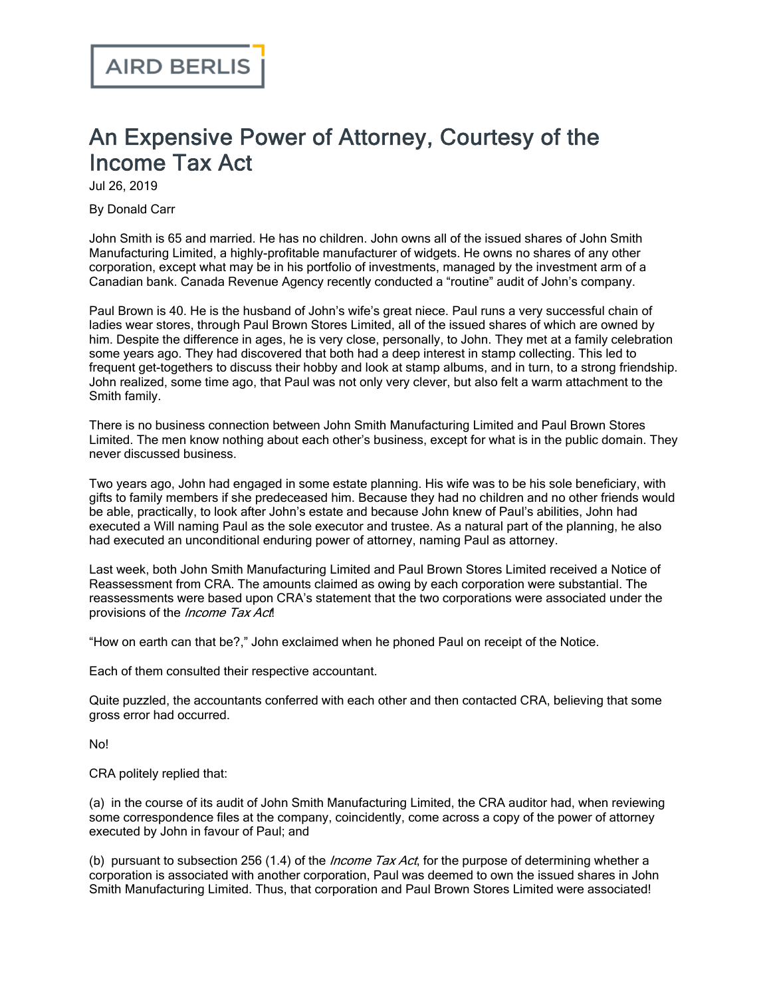## An Expensive Power of Attorney, Courtesy of the Income Tax Act

Jul 26, 2019

By Donald Carr

John Smith is 65 and married. He has no children. John owns all of the issued shares of John Smith Manufacturing Limited, a highly-profitable manufacturer of widgets. He owns no shares of any other corporation, except what may be in his portfolio of investments, managed by the investment arm of a Canadian bank. Canada Revenue Agency recently conducted a "routine" audit of John's company.

Paul Brown is 40. He is the husband of John's wife's great niece. Paul runs a very successful chain of ladies wear stores, through Paul Brown Stores Limited, all of the issued shares of which are owned by him. Despite the difference in ages, he is very close, personally, to John. They met at a family celebration some years ago. They had discovered that both had a deep interest in stamp collecting. This led to frequent get-togethers to discuss their hobby and look at stamp albums, and in turn, to a strong friendship. John realized, some time ago, that Paul was not only very clever, but also felt a warm attachment to the Smith family.

There is no business connection between John Smith Manufacturing Limited and Paul Brown Stores Limited. The men know nothing about each other's business, except for what is in the public domain. They never discussed business.

Two years ago, John had engaged in some estate planning. His wife was to be his sole beneficiary, with gifts to family members if she predeceased him. Because they had no children and no other friends would be able, practically, to look after John's estate and because John knew of Paul's abilities, John had executed a Will naming Paul as the sole executor and trustee. As a natural part of the planning, he also had executed an unconditional enduring power of attorney, naming Paul as attorney.

Last week, both John Smith Manufacturing Limited and Paul Brown Stores Limited received a Notice of Reassessment from CRA. The amounts claimed as owing by each corporation were substantial. The reassessments were based upon CRA's statement that the two corporations were associated under the provisions of the *Income Tax Act*!

"How on earth can that be?," John exclaimed when he phoned Paul on receipt of the Notice.

Each of them consulted their respective accountant.

Quite puzzled, the accountants conferred with each other and then contacted CRA, believing that some gross error had occurred.

No!

CRA politely replied that:

(a) in the course of its audit of John Smith Manufacturing Limited, the CRA auditor had, when reviewing some correspondence files at the company, coincidently, come across a copy of the power of attorney executed by John in favour of Paul; and

(b) pursuant to subsection 256 (1.4) of the *Income Tax Act*, for the purpose of determining whether a corporation is associated with another corporation, Paul was deemed to own the issued shares in John Smith Manufacturing Limited. Thus, that corporation and Paul Brown Stores Limited were associated!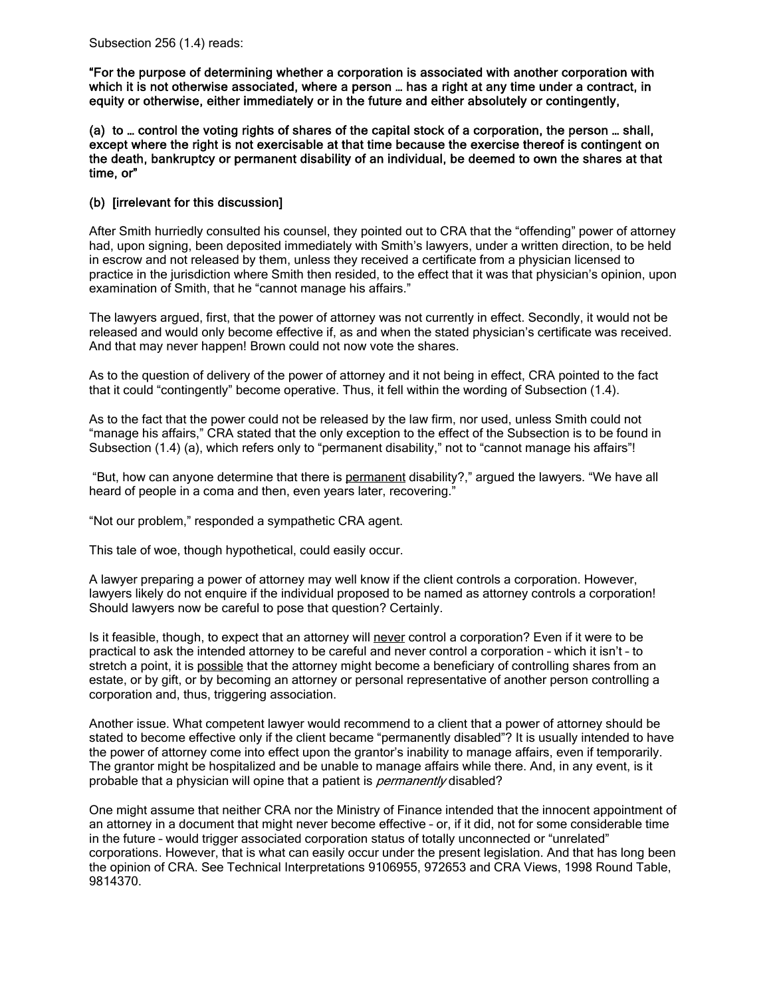"For the purpose of determining whether a corporation is associated with another corporation with which it is not otherwise associated, where a person … has a right at any time under a contract, in equity or otherwise, either immediately or in the future and either absolutely or contingently,

(a) to … control the voting rights of shares of the capital stock of a corporation, the person … shall, except where the right is not exercisable at that time because the exercise thereof is contingent on the death, bankruptcy or permanent disability of an individual, be deemed to own the shares at that time, or"

## (b) [irrelevant for this discussion]

After Smith hurriedly consulted his counsel, they pointed out to CRA that the "offending" power of attorney had, upon signing, been deposited immediately with Smith's lawyers, under a written direction, to be held in escrow and not released by them, unless they received a certificate from a physician licensed to practice in the jurisdiction where Smith then resided, to the effect that it was that physician's opinion, upon examination of Smith, that he "cannot manage his affairs."

The lawyers argued, first, that the power of attorney was not currently in effect. Secondly, it would not be released and would only become effective if, as and when the stated physician's certificate was received. And that may never happen! Brown could not now vote the shares.

As to the question of delivery of the power of attorney and it not being in effect, CRA pointed to the fact that it could "contingently" become operative. Thus, it fell within the wording of Subsection (1.4).

As to the fact that the power could not be released by the law firm, nor used, unless Smith could not "manage his affairs," CRA stated that the only exception to the effect of the Subsection is to be found in Subsection (1.4) (a), which refers only to "permanent disability," not to "cannot manage his affairs"!

 "But, how can anyone determine that there is permanent disability?," argued the lawyers. "We have all heard of people in a coma and then, even years later, recovering."

"Not our problem," responded a sympathetic CRA agent.

This tale of woe, though hypothetical, could easily occur.

A lawyer preparing a power of attorney may well know if the client controls a corporation. However, lawyers likely do not enquire if the individual proposed to be named as attorney controls a corporation! Should lawyers now be careful to pose that question? Certainly.

Is it feasible, though, to expect that an attorney will never control a corporation? Even if it were to be practical to ask the intended attorney to be careful and never control a corporation – which it isn't – to stretch a point, it is possible that the attorney might become a beneficiary of controlling shares from an estate, or by gift, or by becoming an attorney or personal representative of another person controlling a corporation and, thus, triggering association.

Another issue. What competent lawyer would recommend to a client that a power of attorney should be stated to become effective only if the client became "permanently disabled"? It is usually intended to have the power of attorney come into effect upon the grantor's inability to manage affairs, even if temporarily. The grantor might be hospitalized and be unable to manage affairs while there. And, in any event, is it probable that a physician will opine that a patient is *permanently* disabled?

One might assume that neither CRA nor the Ministry of Finance intended that the innocent appointment of an attorney in a document that might never become effective – or, if it did, not for some considerable time in the future – would trigger associated corporation status of totally unconnected or "unrelated" corporations. However, that is what can easily occur under the present legislation. And that has long been the opinion of CRA. See Technical Interpretations 9106955, 972653 and CRA Views, 1998 Round Table, 9814370.